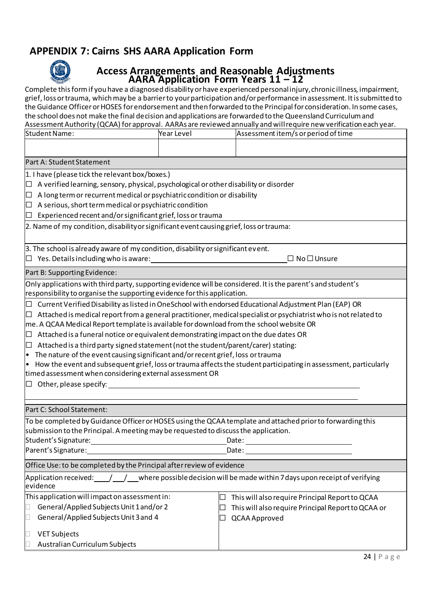## **APPENDIX 7: Cairns SHS AARA Application Form**



## **Access Arrangements and Reasonable Adjustments AARA Application Form Years 11 – 12**

Complete this form if you have a diagnosed disability or have experienced personal injury, chronic illness, impairment, grief, loss or trauma, which may be a barrier to your participation and/or performance in assessment. It is submitted to the Guidance Officer or HOSES for endorsement and then forwarded to the Principal for consideration. In some cases, the school does not make the final decision and applications are forwarded to the Queensland Curriculum and Assessment Authority (QCAA) for approval. AARAs are reviewed annually and will require new verification each year.

| Student Name:                                                                                                                       | Year Level | Assessment item/s or period of time                |  |  |  |  |
|-------------------------------------------------------------------------------------------------------------------------------------|------------|----------------------------------------------------|--|--|--|--|
|                                                                                                                                     |            |                                                    |  |  |  |  |
|                                                                                                                                     |            |                                                    |  |  |  |  |
| Part A: Student Statement                                                                                                           |            |                                                    |  |  |  |  |
| 1. I have (please tick the relevant box/boxes.)                                                                                     |            |                                                    |  |  |  |  |
| $\Box$ A verified learning, sensory, physical, psychological or other disability or disorder                                        |            |                                                    |  |  |  |  |
| $\Box$ A long term or recurrent medical or psychiatric condition or disability                                                      |            |                                                    |  |  |  |  |
| $\Box$ A serious, short term medical or psychiatric condition                                                                       |            |                                                    |  |  |  |  |
| $\Box$ Experienced recent and/or significant grief, loss or trauma                                                                  |            |                                                    |  |  |  |  |
| 2. Name of my condition, disability or significant event causing grief, loss or trauma:                                             |            |                                                    |  |  |  |  |
| 3. The school is already aware of my condition, disability or significant event.                                                    |            |                                                    |  |  |  |  |
| $\Box$ Yes. Details including who is aware: $\Box$<br>$\Box$ No $\Box$ Unsure                                                       |            |                                                    |  |  |  |  |
| Part B: Supporting Evidence:                                                                                                        |            |                                                    |  |  |  |  |
| Only applications with third party, supporting evidence will be considered. It is the parent's and student's                        |            |                                                    |  |  |  |  |
| responsibility to organise the supporting evidence for this application.                                                            |            |                                                    |  |  |  |  |
| $\Box$ Current Verified Disability as listed in OneSchool with endorsed Educational Adjustment Plan (EAP) OR                        |            |                                                    |  |  |  |  |
| $\Box$ Attached is medical report from a general practitioner, medical specialist or psychiatrist who is not related to             |            |                                                    |  |  |  |  |
| me. A QCAA Medical Report template is available for download from the school website OR                                             |            |                                                    |  |  |  |  |
| $\Box$ Attached is a funeral notice or equivalent demonstrating impact on the due dates OR                                          |            |                                                    |  |  |  |  |
| $\Box$ Attached is a third party signed statement (not the student/parent/carer) stating:                                           |            |                                                    |  |  |  |  |
| $\cdot$ The nature of the event causing significant and/or recent grief, loss or trauma                                             |            |                                                    |  |  |  |  |
| $\bullet$ How the event and subsequent grief, loss or trauma affects the student participating in assessment, particularly          |            |                                                    |  |  |  |  |
| timed assessment when considering external assessment OR                                                                            |            |                                                    |  |  |  |  |
| $\Box$ Other, please specify:                                                                                                       |            |                                                    |  |  |  |  |
|                                                                                                                                     |            |                                                    |  |  |  |  |
| Part C: School Statement:                                                                                                           |            |                                                    |  |  |  |  |
| To be completed by Guidance Officer or HOSES using the QCAA template and attached prior to forwarding this                          |            |                                                    |  |  |  |  |
| submission to the Principal. A meeting may be requested to discuss the application.                                                 |            |                                                    |  |  |  |  |
| Student's Signature:<br>Date:                                                                                                       |            |                                                    |  |  |  |  |
| Parent's Signature:<br>Date:                                                                                                        |            |                                                    |  |  |  |  |
| Office Use: to be completed by the Principal after review of evidence                                                               |            |                                                    |  |  |  |  |
| $\lambda$ pplication received: ____/___/___where possible decision will be made within 7 days upon receipt of verifying<br>evidence |            |                                                    |  |  |  |  |
| This application will impact on assessment in:                                                                                      |            | This will also require Principal Report to QCAA    |  |  |  |  |
| General/Applied Subjects Unit 1 and/or 2                                                                                            |            | This will also require Principal Report to QCAA or |  |  |  |  |
| General/Applied Subjects Unit 3 and 4                                                                                               |            | QCAA Approved                                      |  |  |  |  |
|                                                                                                                                     |            |                                                    |  |  |  |  |
| <b>VET Subjects</b><br>$\Box$                                                                                                       |            |                                                    |  |  |  |  |
| Australian Curriculum Subjects                                                                                                      |            |                                                    |  |  |  |  |